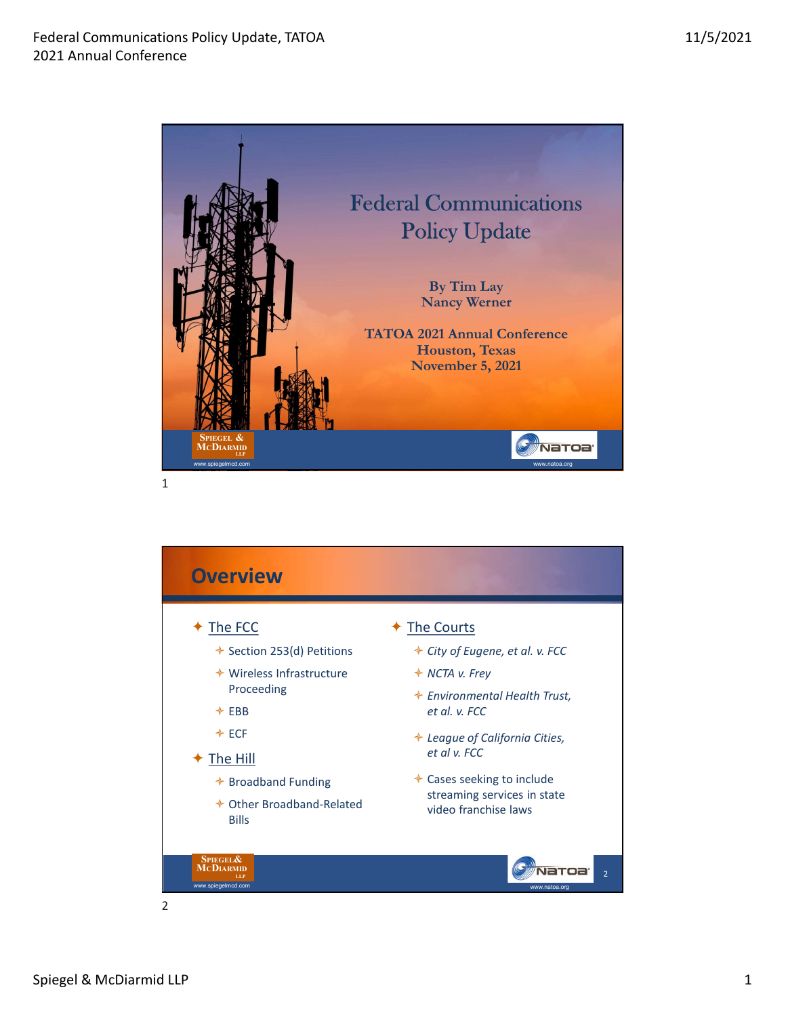

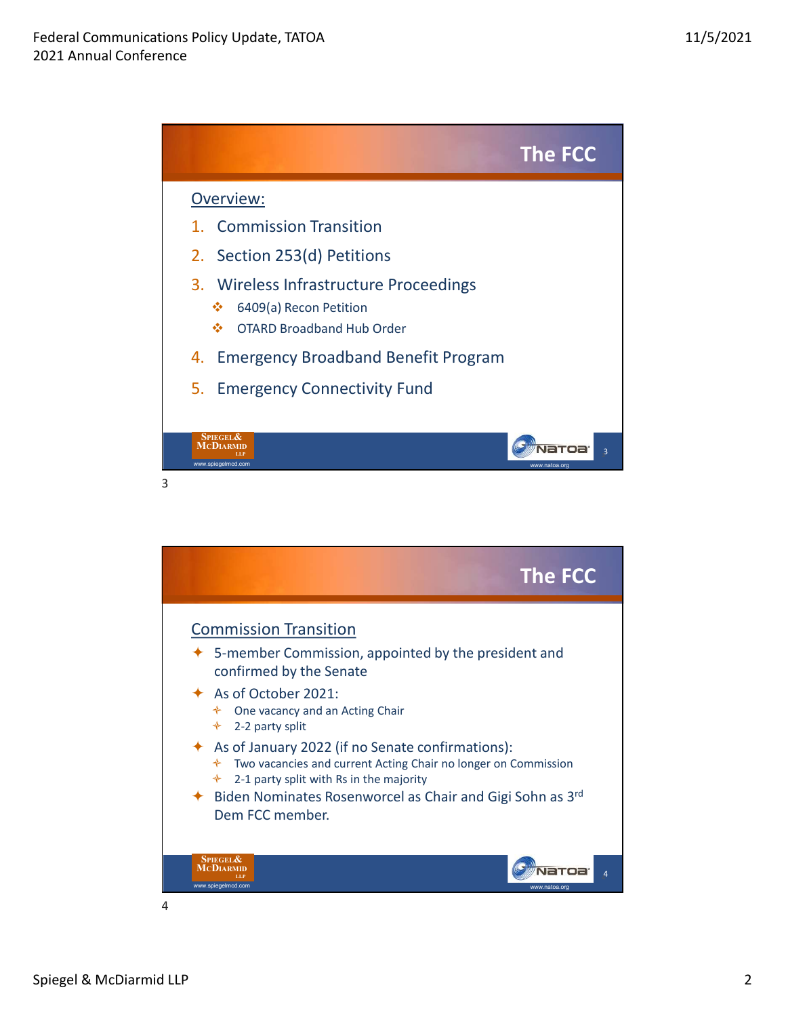

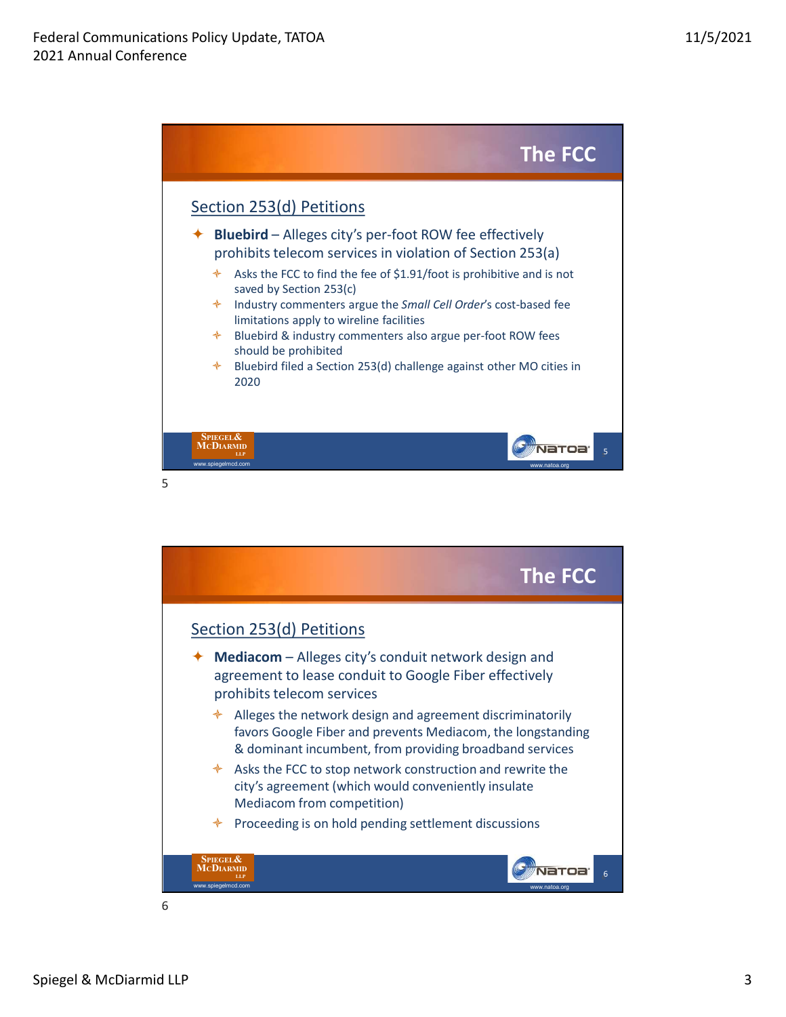

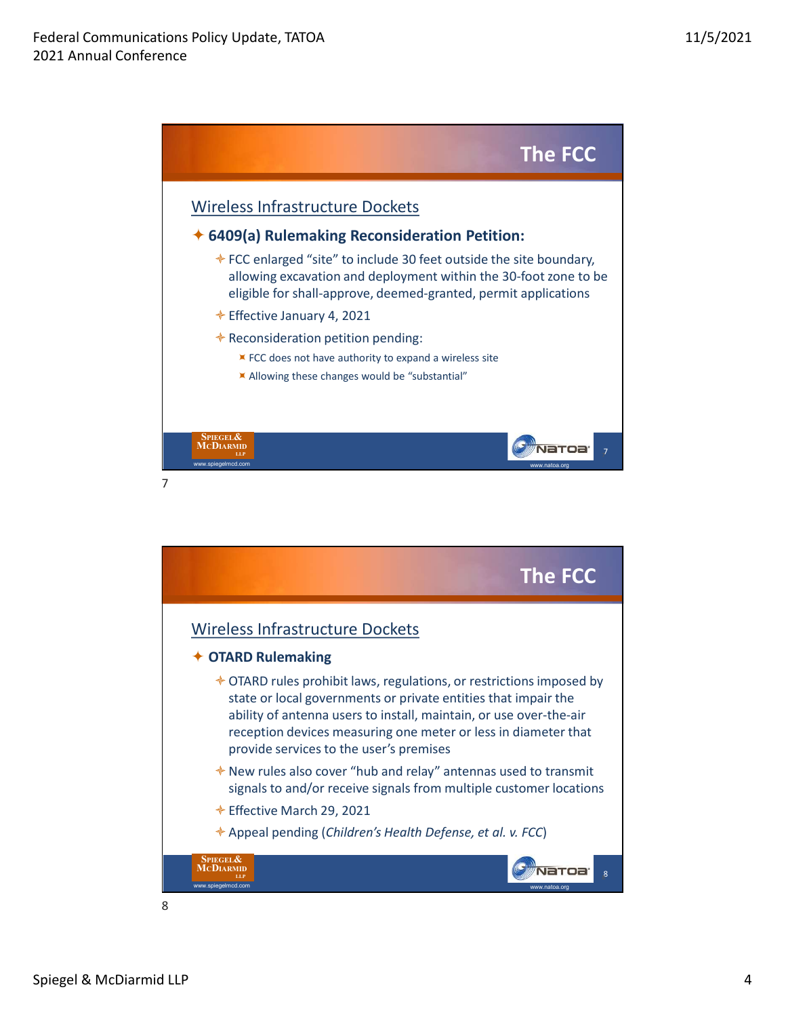

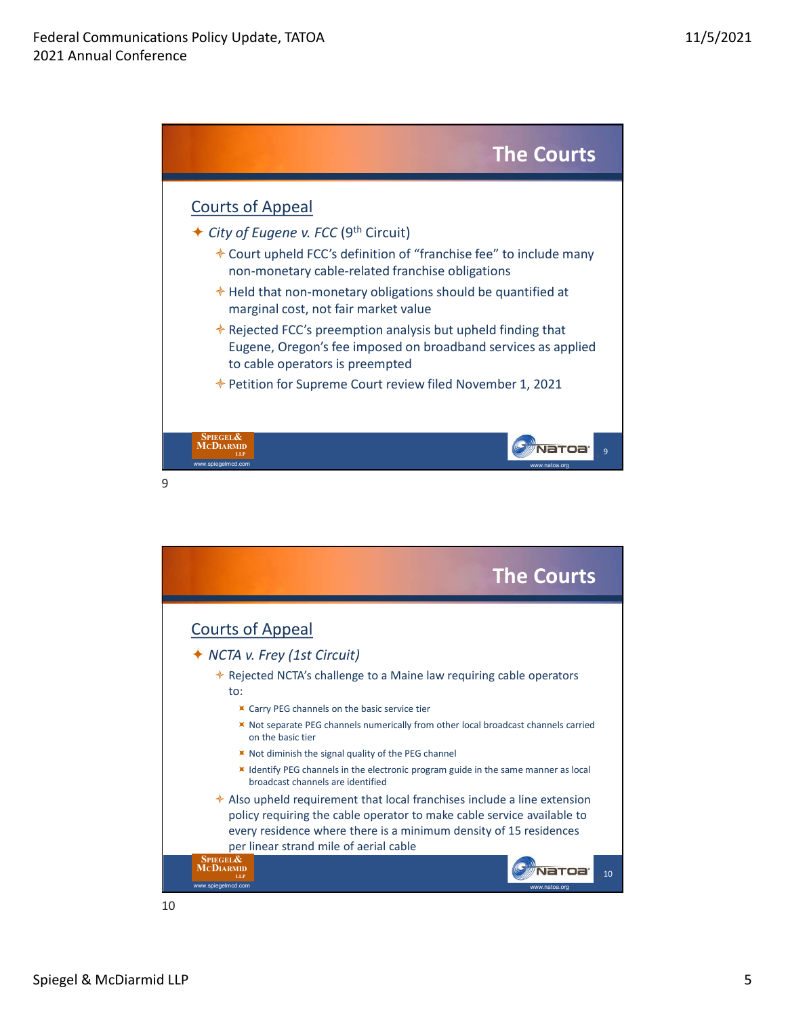



10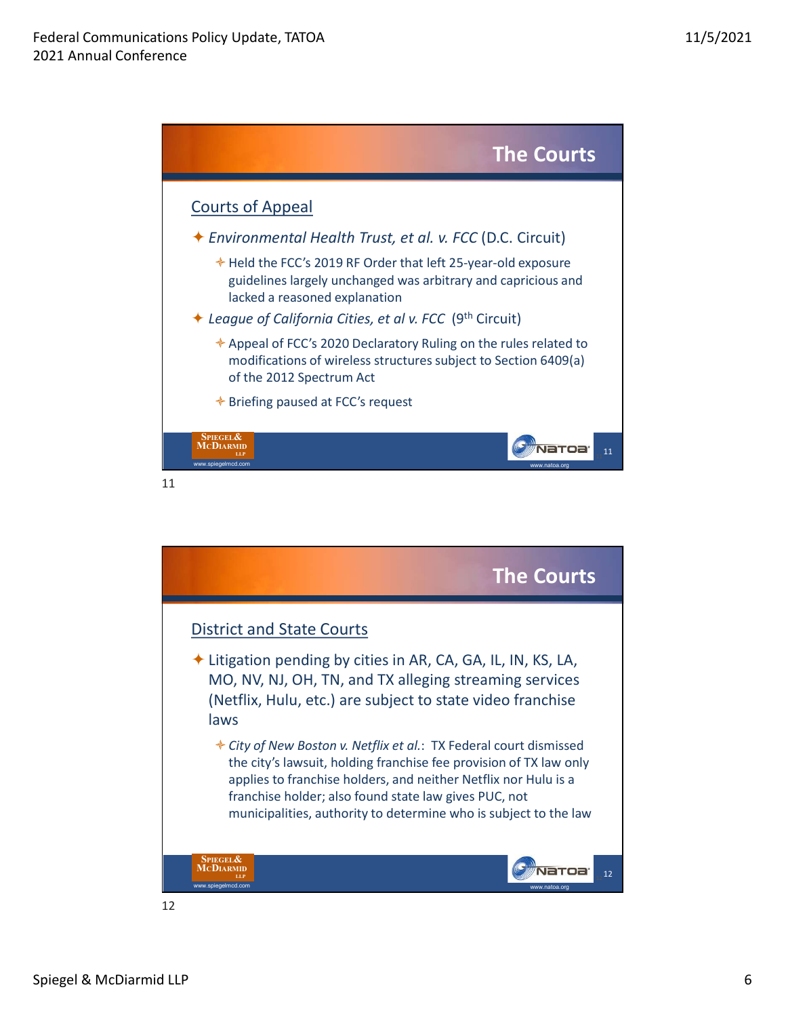

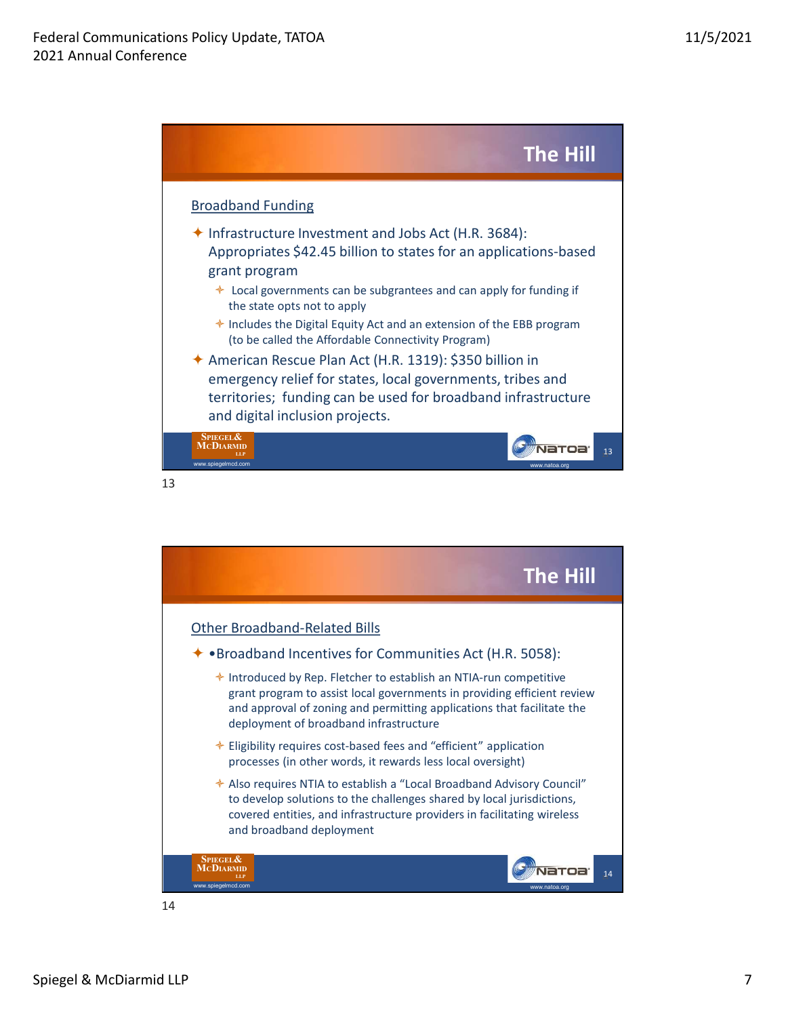